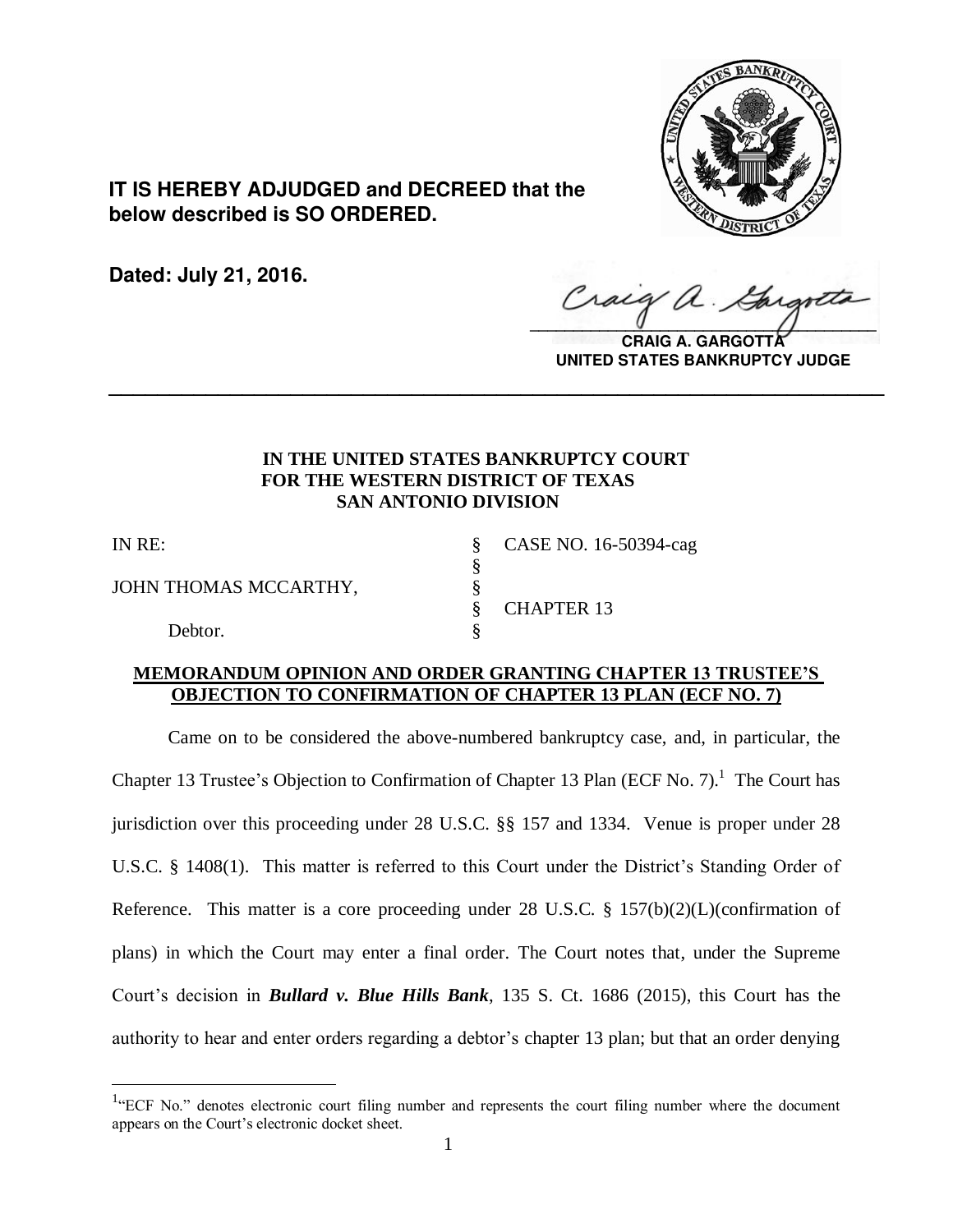

**IT IS HEREBY ADJUDGED and DECREED that the below described is SO ORDERED.**

**Dated: July 21, 2016.**

 $\sqrt{2}$ 

**CRAIG A. GARGOTTA UNITED STATES BANKRUPTCY JUDGE**

# **IN THE UNITED STATES BANKRUPTCY COURT FOR THE WESTERN DISTRICT OF TEXAS SAN ANTONIO DIVISION**

**\_\_\_\_\_\_\_\_\_\_\_\_\_\_\_\_\_\_\_\_\_\_\_\_\_\_\_\_\_\_\_\_\_\_\_\_\_\_\_\_\_\_\_\_\_\_\_\_\_\_\_\_\_\_\_\_\_\_\_\_\_\_\_\_**

§

 $\overline{a}$ 

JOHN THOMAS MCCARTHY,  $\S$ 

Debtor.

IN RE: § CASE NO. 16-50394-cag § CHAPTER 13

## **MEMORANDUM OPINION AND ORDER GRANTING CHAPTER 13 TRUSTEE'S OBJECTION TO CONFIRMATION OF CHAPTER 13 PLAN (ECF NO. 7)**

 Came on to be considered the above-numbered bankruptcy case, and, in particular, the Chapter 13 Trustee's Objection to Confirmation of Chapter 13 Plan (ECF No. 7).<sup>1</sup> The Court has jurisdiction over this proceeding under 28 U.S.C. §§ 157 and 1334. Venue is proper under 28 U.S.C. § 1408(1). This matter is referred to this Court under the District's Standing Order of Reference. This matter is a core proceeding under 28 U.S.C. § 157(b)(2)(L)(confirmation of plans) in which the Court may enter a final order. The Court notes that, under the Supreme Court's decision in *Bullard v. Blue Hills Bank*, 135 S. Ct. 1686 (2015), this Court has the authority to hear and enter orders regarding a debtor's chapter 13 plan; but that an order denying

 $1$ <sup>4</sup> ECF No." denotes electronic court filing number and represents the court filing number where the document appears on the Court's electronic docket sheet.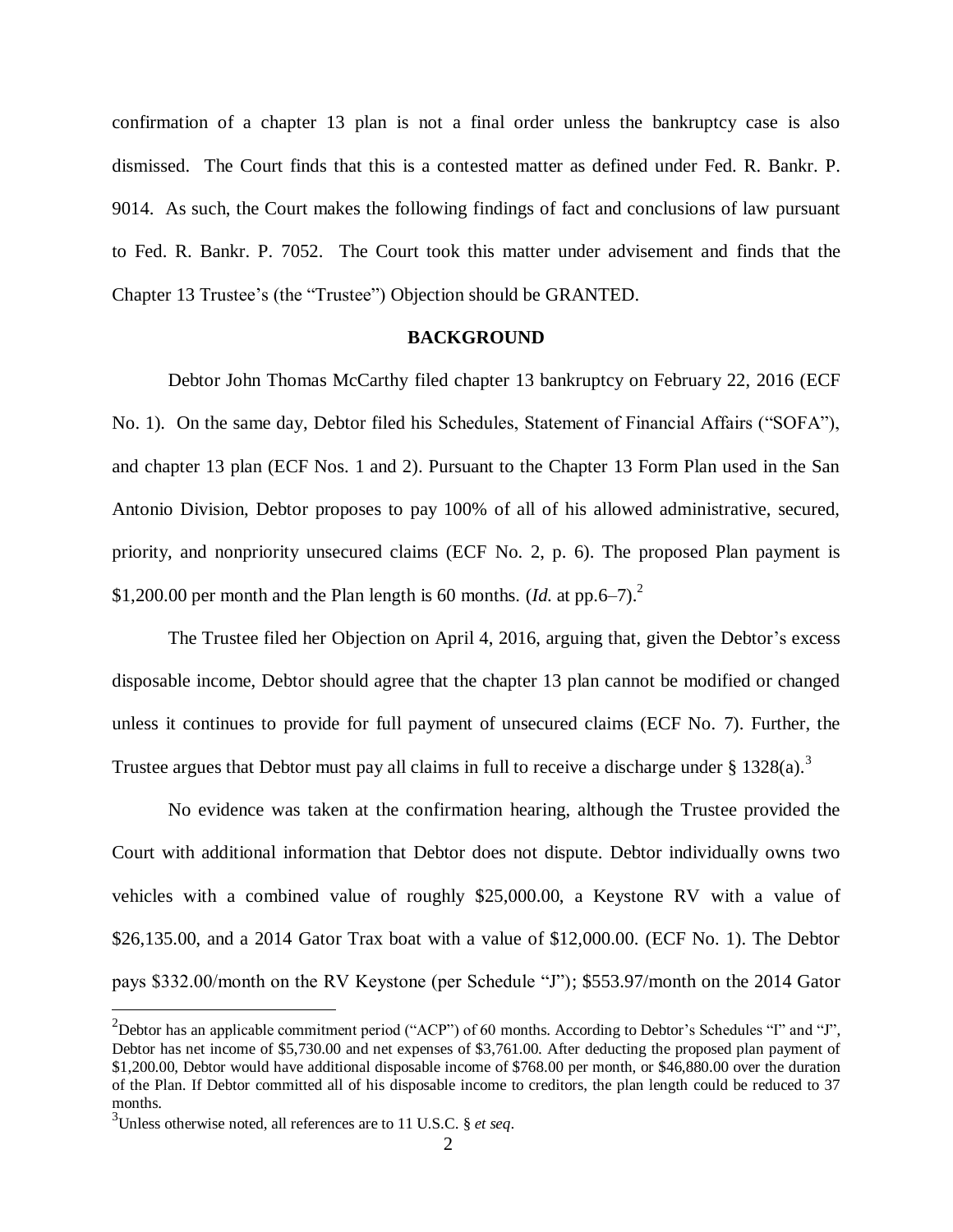confirmation of a chapter 13 plan is not a final order unless the bankruptcy case is also dismissed. The Court finds that this is a contested matter as defined under Fed. R. Bankr. P. 9014. As such, the Court makes the following findings of fact and conclusions of law pursuant to Fed. R. Bankr. P. 7052. The Court took this matter under advisement and finds that the Chapter 13 Trustee's (the "Trustee") Objection should be GRANTED.

#### **BACKGROUND**

Debtor John Thomas McCarthy filed chapter 13 bankruptcy on February 22, 2016 (ECF No. 1). On the same day, Debtor filed his Schedules, Statement of Financial Affairs ("SOFA"), and chapter 13 plan (ECF Nos. 1 and 2). Pursuant to the Chapter 13 Form Plan used in the San Antonio Division, Debtor proposes to pay 100% of all of his allowed administrative, secured, priority, and nonpriority unsecured claims (ECF No. 2, p. 6). The proposed Plan payment is \$1,200.00 per month and the Plan length is 60 months.  $(Id.$  at pp.6–7).<sup>2</sup>

The Trustee filed her Objection on April 4, 2016, arguing that, given the Debtor's excess disposable income, Debtor should agree that the chapter 13 plan cannot be modified or changed unless it continues to provide for full payment of unsecured claims (ECF No. 7). Further, the Trustee argues that Debtor must pay all claims in full to receive a discharge under  $\S 1328(a)$ .<sup>3</sup>

No evidence was taken at the confirmation hearing, although the Trustee provided the Court with additional information that Debtor does not dispute. Debtor individually owns two vehicles with a combined value of roughly \$25,000.00, a Keystone RV with a value of \$26,135.00, and a 2014 Gator Trax boat with a value of \$12,000.00. (ECF No. 1). The Debtor pays \$332.00/month on the RV Keystone (per Schedule "J"); \$553.97/month on the 2014 Gator

<sup>&</sup>lt;sup>2</sup>Debtor has an applicable commitment period ("ACP") of 60 months. According to Debtor's Schedules "I" and "J", Debtor has net income of \$5,730.00 and net expenses of \$3,761.00. After deducting the proposed plan payment of \$1,200.00, Debtor would have additional disposable income of \$768.00 per month, or \$46,880.00 over the duration of the Plan. If Debtor committed all of his disposable income to creditors, the plan length could be reduced to 37 months.

<sup>3</sup> Unless otherwise noted, all references are to 11 U.S.C. § *et seq*.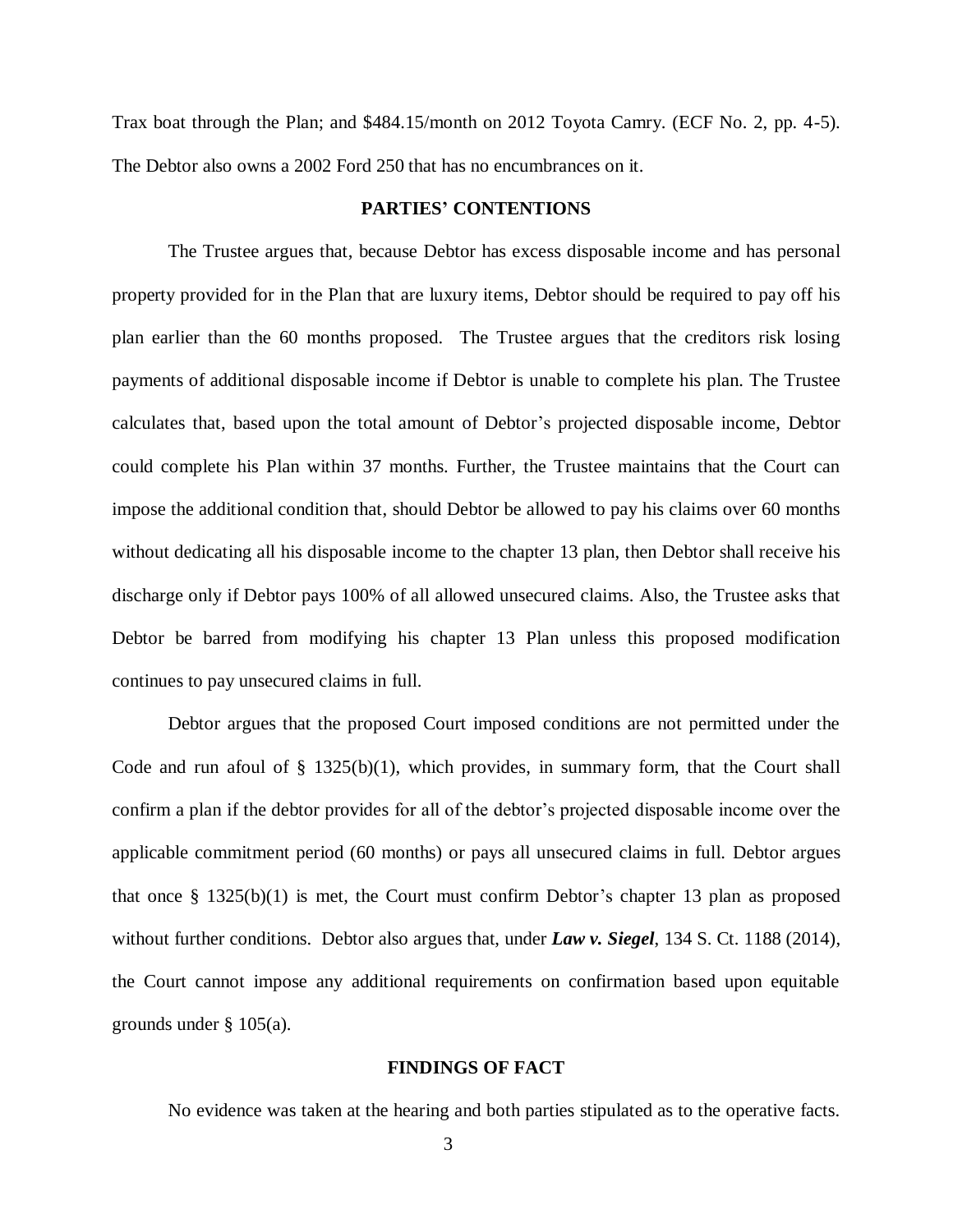Trax boat through the Plan; and \$484.15/month on 2012 Toyota Camry. (ECF No. 2, pp. 4-5). The Debtor also owns a 2002 Ford 250 that has no encumbrances on it.

#### **PARTIES' CONTENTIONS**

The Trustee argues that, because Debtor has excess disposable income and has personal property provided for in the Plan that are luxury items, Debtor should be required to pay off his plan earlier than the 60 months proposed. The Trustee argues that the creditors risk losing payments of additional disposable income if Debtor is unable to complete his plan. The Trustee calculates that, based upon the total amount of Debtor's projected disposable income, Debtor could complete his Plan within 37 months. Further, the Trustee maintains that the Court can impose the additional condition that, should Debtor be allowed to pay his claims over 60 months without dedicating all his disposable income to the chapter 13 plan, then Debtor shall receive his discharge only if Debtor pays 100% of all allowed unsecured claims. Also, the Trustee asks that Debtor be barred from modifying his chapter 13 Plan unless this proposed modification continues to pay unsecured claims in full.

Debtor argues that the proposed Court imposed conditions are not permitted under the Code and run afoul of  $\S$  1325(b)(1), which provides, in summary form, that the Court shall confirm a plan if the debtor provides for all of the debtor's projected disposable income over the applicable commitment period (60 months) or pays all unsecured claims in full. Debtor argues that once  $\S$  1325(b)(1) is met, the Court must confirm Debtor's chapter 13 plan as proposed without further conditions. Debtor also argues that, under *Law v. Siegel*, 134 S. Ct. 1188 (2014), the Court cannot impose any additional requirements on confirmation based upon equitable grounds under § 105(a).

#### **FINDINGS OF FACT**

No evidence was taken at the hearing and both parties stipulated as to the operative facts.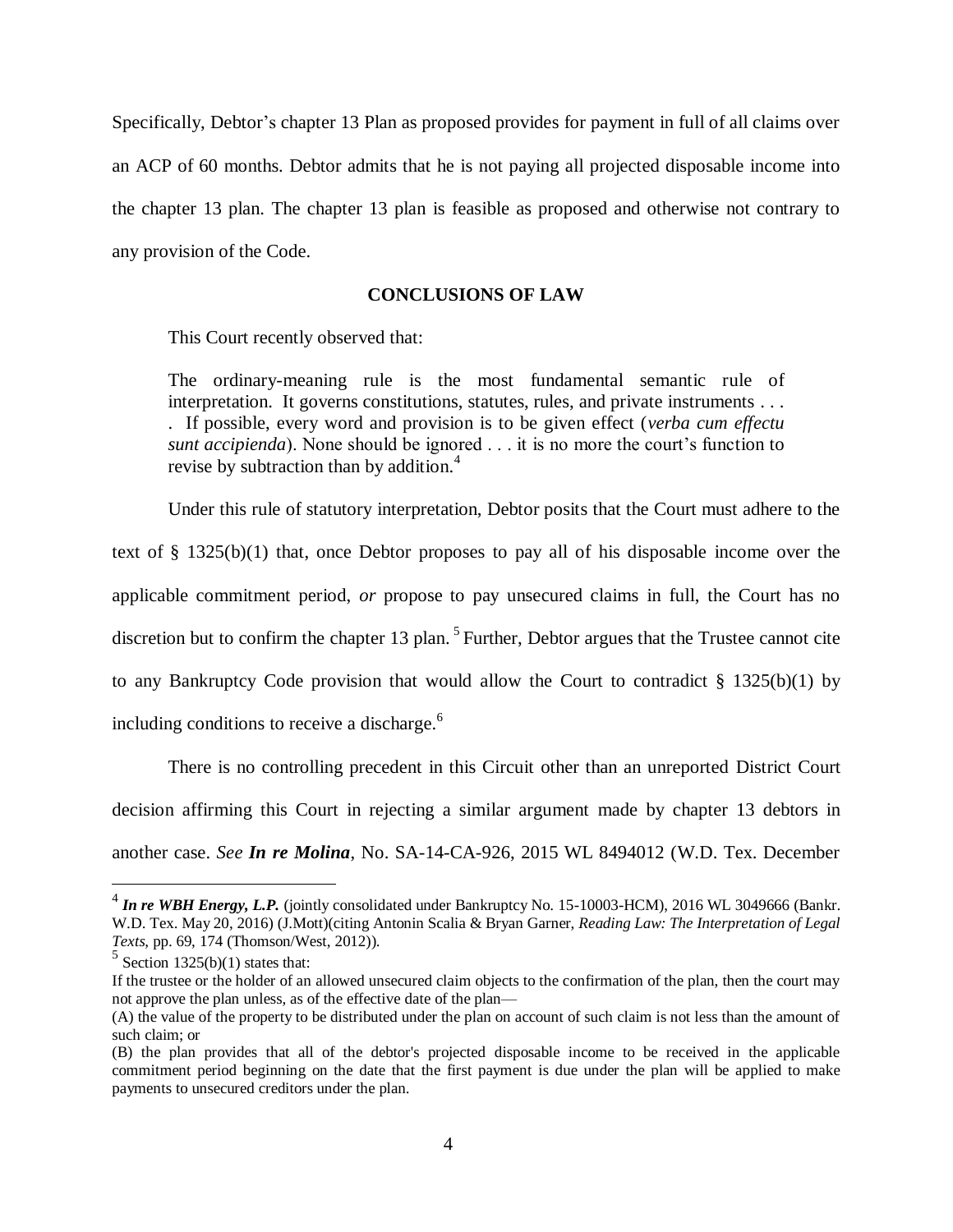Specifically, Debtor's chapter 13 Plan as proposed provides for payment in full of all claims over an ACP of 60 months. Debtor admits that he is not paying all projected disposable income into the chapter 13 plan. The chapter 13 plan is feasible as proposed and otherwise not contrary to any provision of the Code.

### **CONCLUSIONS OF LAW**

This Court recently observed that:

The ordinary-meaning rule is the most fundamental semantic rule of interpretation. It governs constitutions, statutes, rules, and private instruments . . . . If possible, every word and provision is to be given effect (*verba cum effectu sunt accipienda*). None should be ignored . . . it is no more the court's function to revise by subtraction than by addition.<sup>4</sup>

Under this rule of statutory interpretation, Debtor posits that the Court must adhere to the

text of § 1325(b)(1) that, once Debtor proposes to pay all of his disposable income over the applicable commitment period, *or* propose to pay unsecured claims in full, the Court has no discretion but to confirm the chapter 13 plan.<sup>5</sup> Further, Debtor argues that the Trustee cannot cite to any Bankruptcy Code provision that would allow the Court to contradict  $\S$  1325(b)(1) by including conditions to receive a discharge.<sup>6</sup>

There is no controlling precedent in this Circuit other than an unreported District Court decision affirming this Court in rejecting a similar argument made by chapter 13 debtors in another case. *See In re Molina*, No. SA-14-CA-926, 2015 WL 8494012 (W.D. Tex. December

 4 *In re WBH Energy, L.P.* (jointly consolidated under Bankruptcy No. 15-10003-HCM), 2016 WL 3049666 (Bankr. W.D. Tex. May 20, 2016) (J.Mott)(citing Antonin Scalia & Bryan Garner, *Reading Law: The Interpretation of Legal Texts*, pp. 69, 174 (Thomson/West, 2012)).

 $5$  Section 1325(b)(1) states that:

If the trustee or the holder of an allowed unsecured claim objects to the confirmation of the plan, then the court may not approve the plan unless, as of the effective date of the plan—

<sup>(</sup>A) the value of the property to be distributed under the plan on account of such claim is not less than the amount of such claim; or

<sup>(</sup>B) the plan provides that all of the debtor's projected disposable income to be received in the applicable commitment period beginning on the date that the first payment is due under the plan will be applied to make payments to unsecured creditors under the plan.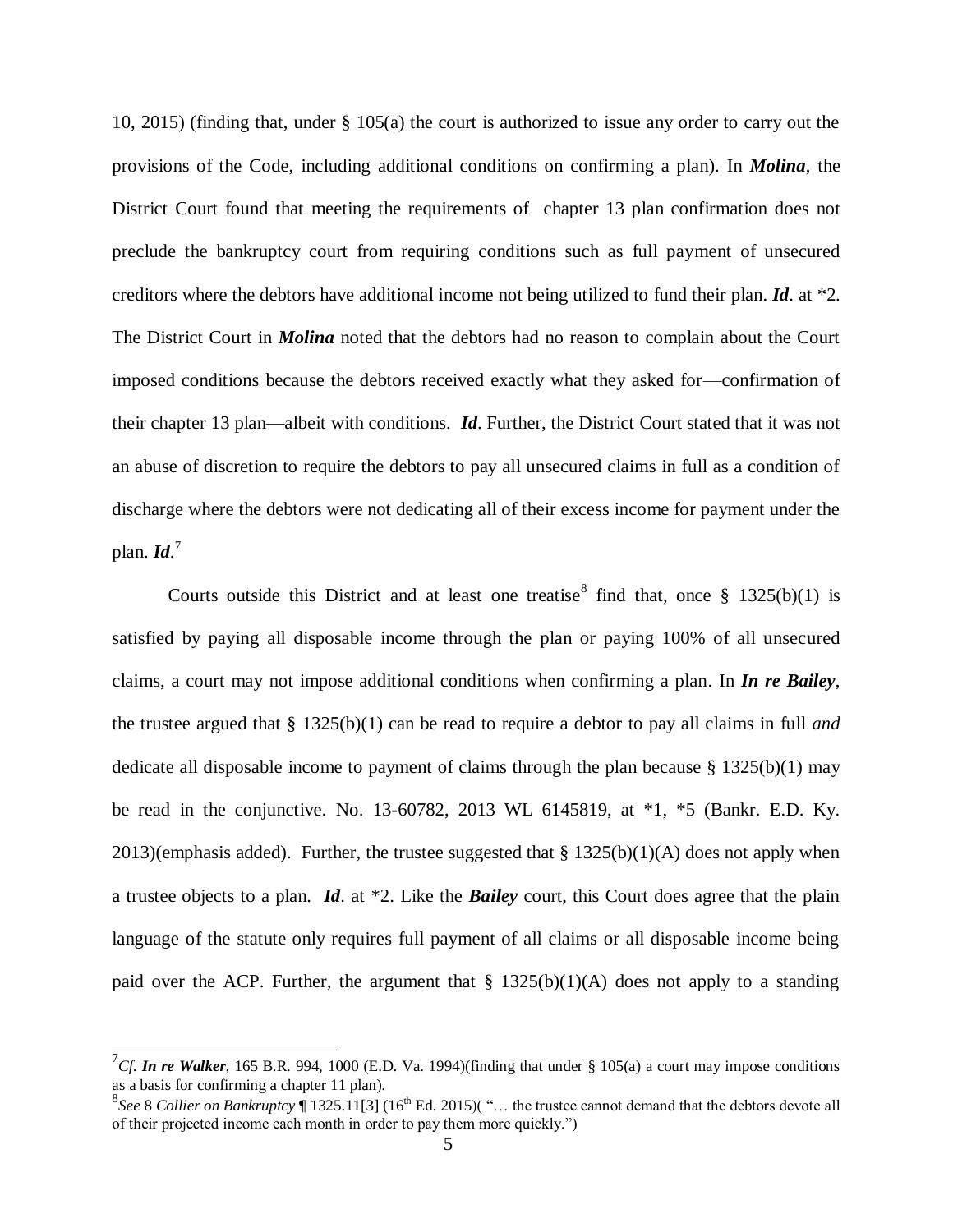10, 2015) (finding that, under § 105(a) the court is authorized to issue any order to carry out the provisions of the Code, including additional conditions on confirming a plan). In *Molina*, the District Court found that meeting the requirements of chapter 13 plan confirmation does not preclude the bankruptcy court from requiring conditions such as full payment of unsecured creditors where the debtors have additional income not being utilized to fund their plan. *Id*. at \*2. The District Court in *Molina* noted that the debtors had no reason to complain about the Court imposed conditions because the debtors received exactly what they asked for—confirmation of their chapter 13 plan—albeit with conditions. *Id*. Further, the District Court stated that it was not an abuse of discretion to require the debtors to pay all unsecured claims in full as a condition of discharge where the debtors were not dedicating all of their excess income for payment under the plan. *Id*. 7

Courts outside this District and at least one treatise  $\delta$  find that, once  $\S$  1325(b)(1) is satisfied by paying all disposable income through the plan or paying 100% of all unsecured claims, a court may not impose additional conditions when confirming a plan. In *In re Bailey*, the trustee argued that § 1325(b)(1) can be read to require a debtor to pay all claims in full *and* dedicate all disposable income to payment of claims through the plan because  $\S$  1325(b)(1) may be read in the conjunctive. No. 13-60782, 2013 WL 6145819, at \*1, \*5 (Bankr. E.D. Ky. 2013)(emphasis added). Further, the trustee suggested that  $\S 1325(b)(1)(A)$  does not apply when a trustee objects to a plan. *Id*. at \*2. Like the *Bailey* court, this Court does agree that the plain language of the statute only requires full payment of all claims or all disposable income being paid over the ACP. Further, the argument that  $\S$  1325(b)(1)(A) does not apply to a standing

<sup>&</sup>lt;sup>7</sup>Cf. **In re Walker**, 165 B.R. 994, 1000 (E.D. Va. 1994)(finding that under § 105(a) a court may impose conditions as a basis for confirming a chapter 11 plan).

 ${}^{8}$ See 8 *Collier on Bankruptcy*  $\P$  1325.11[3] (16<sup>th</sup> Ed. 2015)( "... the trustee cannot demand that the debtors devote all of their projected income each month in order to pay them more quickly.")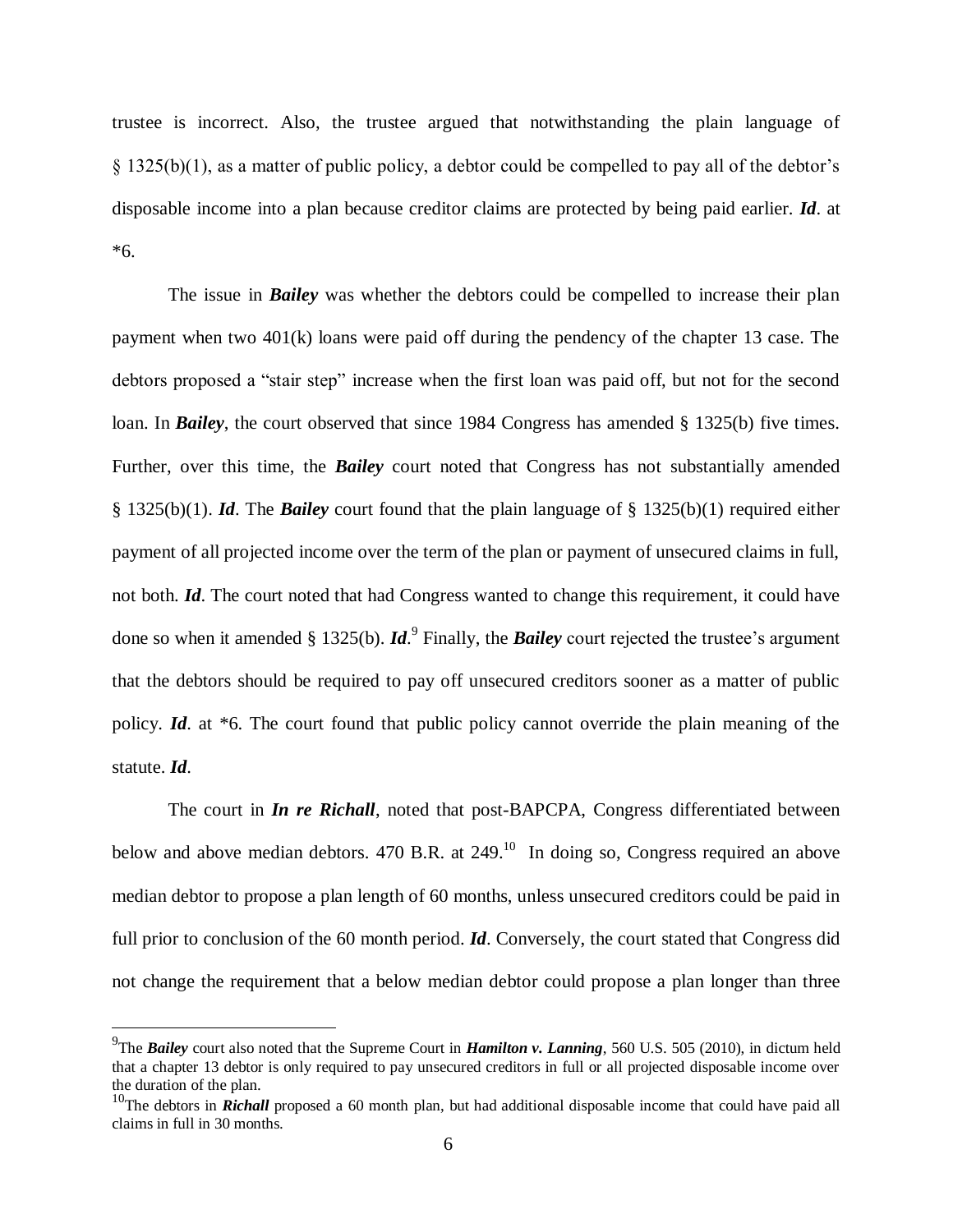trustee is incorrect. Also, the trustee argued that notwithstanding the plain language of § 1325(b)(1), as a matter of public policy, a debtor could be compelled to pay all of the debtor's disposable income into a plan because creditor claims are protected by being paid earlier. *Id*. at \*6.

The issue in *Bailey* was whether the debtors could be compelled to increase their plan payment when two 401(k) loans were paid off during the pendency of the chapter 13 case. The debtors proposed a "stair step" increase when the first loan was paid off, but not for the second loan. In *Bailey*, the court observed that since 1984 Congress has amended § 1325(b) five times. Further, over this time, the *Bailey* court noted that Congress has not substantially amended § 1325(b)(1). *Id*. The *Bailey* court found that the plain language of § 1325(b)(1) required either payment of all projected income over the term of the plan or payment of unsecured claims in full, not both. *Id*. The court noted that had Congress wanted to change this requirement, it could have done so when it amended § 1325(b). *Id*. 9 Finally, the *Bailey* court rejected the trustee's argument that the debtors should be required to pay off unsecured creditors sooner as a matter of public policy. *Id*. at \*6. The court found that public policy cannot override the plain meaning of the statute. *Id*.

The court in *In re Richall*, noted that post-BAPCPA, Congress differentiated between below and above median debtors. 470 B.R. at  $249$ <sup>10</sup> In doing so, Congress required an above median debtor to propose a plan length of 60 months, unless unsecured creditors could be paid in full prior to conclusion of the 60 month period. *Id*. Conversely, the court stated that Congress did not change the requirement that a below median debtor could propose a plan longer than three

<sup>9</sup> The *Bailey* court also noted that the Supreme Court in *Hamilton v. Lanning*, 560 U.S. 505 (2010), in dictum held that a chapter 13 debtor is only required to pay unsecured creditors in full or all projected disposable income over the duration of the plan.

<sup>&</sup>lt;sup>10</sup>The debtors in *Richall* proposed a 60 month plan, but had additional disposable income that could have paid all claims in full in 30 months.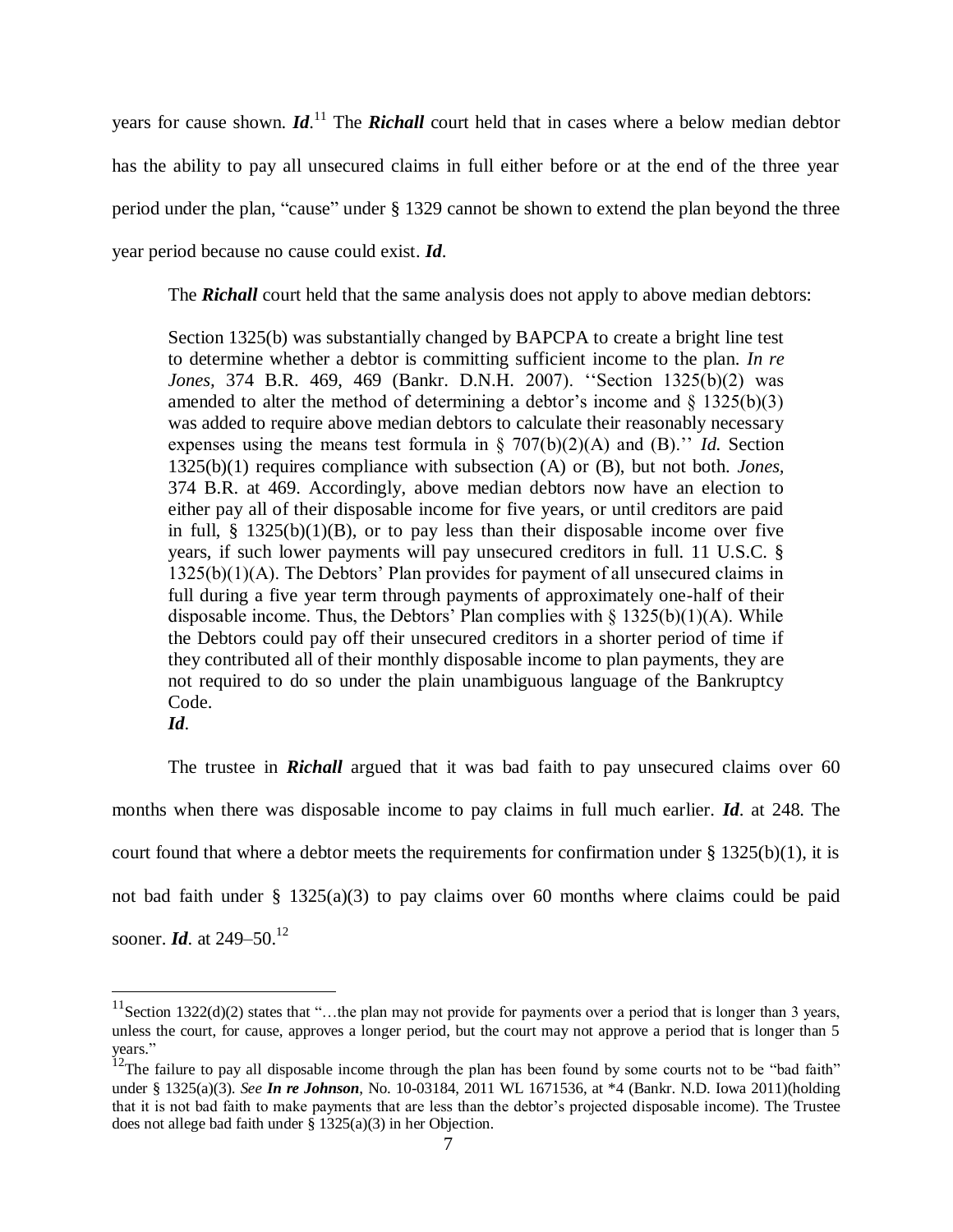years for cause shown. *Id*. <sup>11</sup> The *Richall* court held that in cases where a below median debtor has the ability to pay all unsecured claims in full either before or at the end of the three year period under the plan, "cause" under § 1329 cannot be shown to extend the plan beyond the three year period because no cause could exist. *Id*.

The **Richall** court held that the same analysis does not apply to above median debtors:

Section 1325(b) was substantially changed by BAPCPA to create a bright line test to determine whether a debtor is committing sufficient income to the plan. *In re Jones,* 374 B.R. 469, 469 (Bankr. D.N.H. 2007). ''Section 1325(b)(2) was amended to alter the method of determining a debtor's income and  $\S$  1325(b)(3) was added to require above median debtors to calculate their reasonably necessary expenses using the means test formula in § 707(b)(2)(A) and (B).'' *Id.* Section 1325(b)(1) requires compliance with subsection (A) or (B), but not both. *Jones,*  374 B.R. at 469. Accordingly, above median debtors now have an election to either pay all of their disposable income for five years, or until creditors are paid in full,  $\S$  1325(b)(1)(B), or to pay less than their disposable income over five years, if such lower payments will pay unsecured creditors in full. 11 U.S.C. § 1325(b)(1)(A). The Debtors' Plan provides for payment of all unsecured claims in full during a five year term through payments of approximately one-half of their disposable income. Thus, the Debtors' Plan complies with  $\S$  1325(b)(1)(A). While the Debtors could pay off their unsecured creditors in a shorter period of time if they contributed all of their monthly disposable income to plan payments, they are not required to do so under the plain unambiguous language of the Bankruptcy Code.

 $\overline{a}$ 

The trustee in *Richall* argued that it was bad faith to pay unsecured claims over 60 months when there was disposable income to pay claims in full much earlier. *Id*. at 248. The court found that where a debtor meets the requirements for confirmation under  $\S$  1325(b)(1), it is not bad faith under § 1325(a)(3) to pay claims over 60 months where claims could be paid sooner. *Id.* at 249–50.<sup>12</sup>

*Id*.

<sup>&</sup>lt;sup>11</sup>Section 1322(d)(2) states that "...the plan may not provide for payments over a period that is longer than 3 years, unless the court, for cause, approves a longer period, but the court may not approve a period that is longer than 5 years."

<sup>&</sup>lt;sup>12</sup>The failure to pay all disposable income through the plan has been found by some courts not to be "bad faith" under § 1325(a)(3). *See In re Johnson*, No. 10-03184, 2011 WL 1671536, at \*4 (Bankr. N.D. Iowa 2011)(holding that it is not bad faith to make payments that are less than the debtor's projected disposable income). The Trustee does not allege bad faith under  $\S$  1325(a)(3) in her Objection.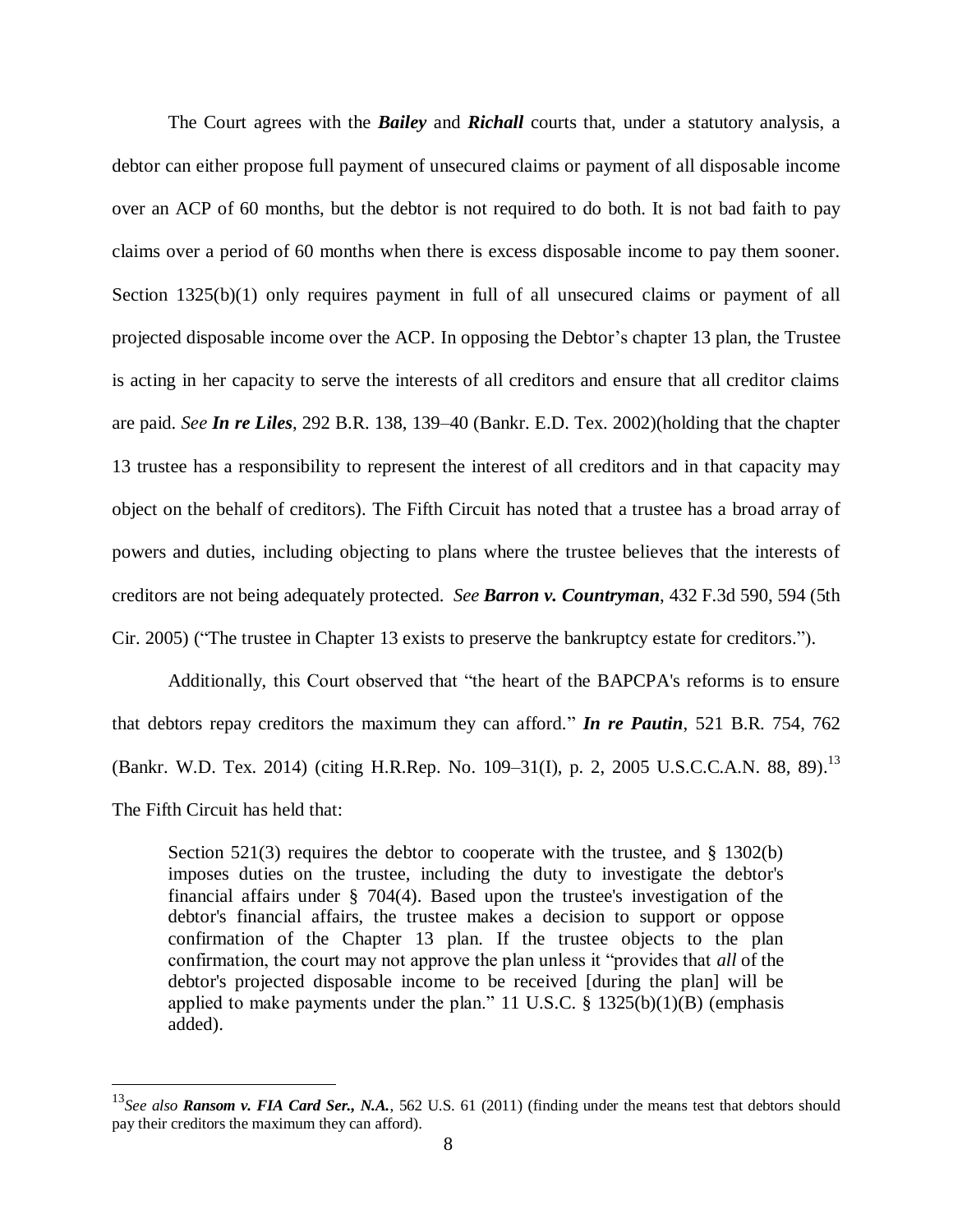The Court agrees with the *Bailey* and *Richall* courts that, under a statutory analysis, a debtor can either propose full payment of unsecured claims or payment of all disposable income over an ACP of 60 months, but the debtor is not required to do both. It is not bad faith to pay claims over a period of 60 months when there is excess disposable income to pay them sooner. Section 1325(b)(1) only requires payment in full of all unsecured claims or payment of all projected disposable income over the ACP. In opposing the Debtor's chapter 13 plan, the Trustee is acting in her capacity to serve the interests of all creditors and ensure that all creditor claims are paid. *See In re Liles*, 292 B.R. 138, 139–40 (Bankr. E.D. Tex. 2002)(holding that the chapter 13 trustee has a responsibility to represent the interest of all creditors and in that capacity may object on the behalf of creditors). The Fifth Circuit has noted that a trustee has a broad array of powers and duties, including objecting to plans where the trustee believes that the interests of creditors are not being adequately protected. *See Barron v. Countryman*, 432 F.3d 590, 594 (5th Cir. 2005) ("The trustee in Chapter 13 exists to preserve the bankruptcy estate for creditors.").

Additionally, this Court observed that "the heart of the BAPCPA's reforms is to ensure that debtors repay creditors the maximum they can afford." *In re Pautin*, 521 B.R. 754, 762 (Bankr. W.D. Tex. 2014) (citing [H.R.Rep. No. 109–31\(I\), p. 2,](https://1.next.westlaw.com/Link/Document/FullText?findType=Y&serNum=0303905884&pubNum=0100014&originatingDoc=Ic62bc2f0765d11e4b4bafa136b480ad2&refType=TV&originationContext=document&transitionType=DocumentItem&contextData=%28sc.UserEnteredCitation%29) 2005 U.S.C.C.A.N. 88, 89).<sup>13</sup> The Fifth Circuit has held that:

Section  $521(3)$  requires the debtor to cooperate with the trustee, and § 1302(b) imposes duties on the trustee, including the duty to investigate the debtor's financial affairs under § 704(4). Based upon the trustee's investigation of the debtor's financial affairs, the trustee makes a decision to support or oppose confirmation of the Chapter 13 plan. If the trustee objects to the plan confirmation, the court may not approve the plan unless it "provides that *all* of the debtor's projected disposable income to be received [during the plan] will be applied to make payments under the plan." [11 U.S.C. § 1325\(b\)\(1\)\(B\)](https://1.next.westlaw.com/Link/Document/FullText?findType=L&pubNum=1000546&cite=11USCAS1325&originatingDoc=I5c808a01183611dbb0d3b726c66cf290&refType=RB&originationContext=document&transitionType=DocumentItem&contextData=%28sc.UserEnteredCitation%29#co_pp_2a4b0000e5562) (emphasis added).

<sup>13</sup>*See also Ransom v. FIA Card Ser., N.A.*, 562 U.S. 61 (2011) (finding under the means test that debtors should pay their creditors the maximum they can afford).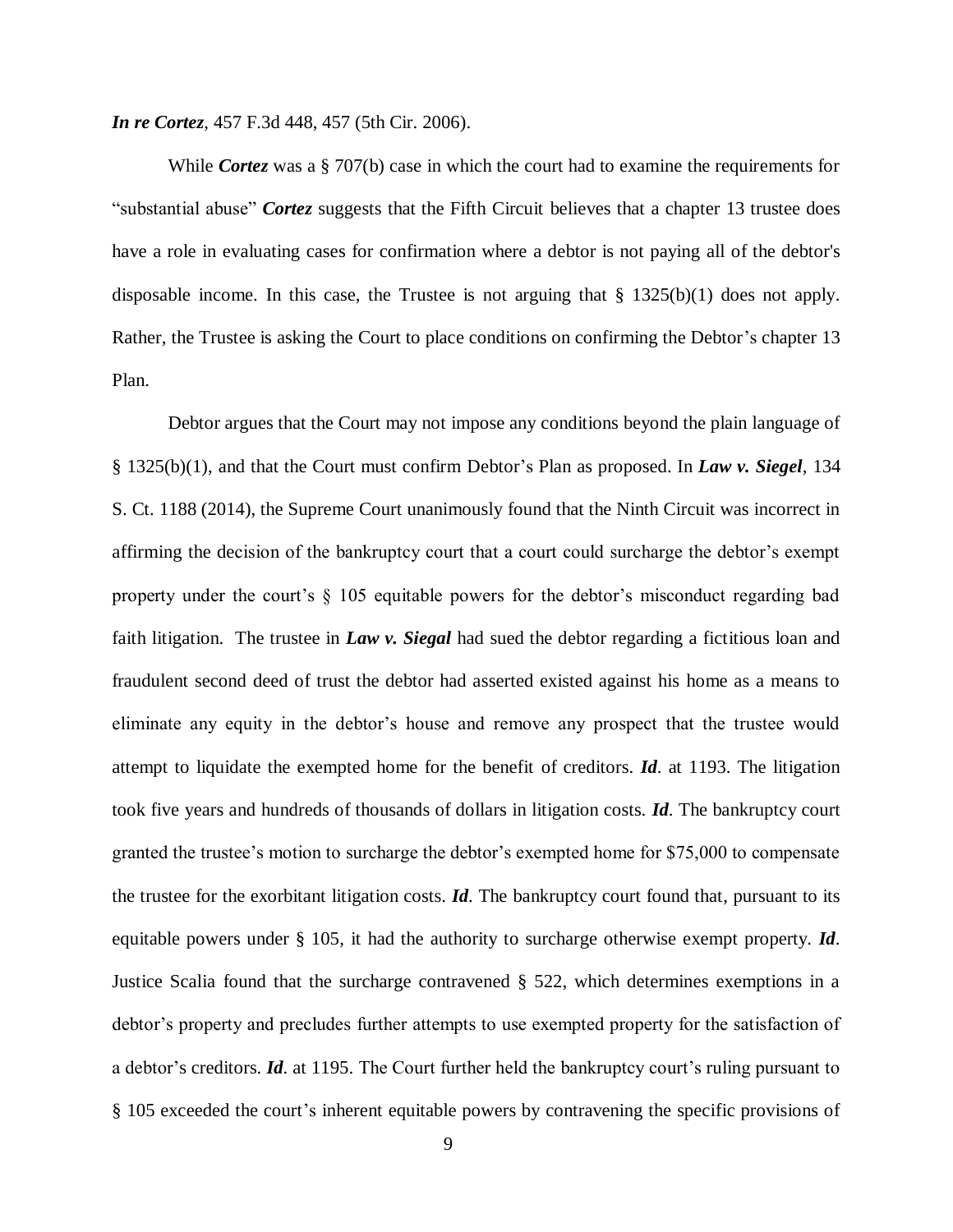*In re Cortez*, 457 F.3d 448, 457 (5th Cir. 2006).

While *Cortez* was a § 707(b) case in which the court had to examine the requirements for "substantial abuse" *Cortez* suggests that the Fifth Circuit believes that a chapter 13 trustee does have a role in evaluating cases for confirmation where a debtor is not paying all of the debtor's disposable income. In this case, the Trustee is not arguing that § 1325(b)(1) does not apply. Rather, the Trustee is asking the Court to place conditions on confirming the Debtor's chapter 13 Plan.

Debtor argues that the Court may not impose any conditions beyond the plain language of § 1325(b)(1), and that the Court must confirm Debtor's Plan as proposed. In *Law v. Siegel*, 134 S. Ct. 1188 (2014), the Supreme Court unanimously found that the Ninth Circuit was incorrect in affirming the decision of the bankruptcy court that a court could surcharge the debtor's exempt property under the court's  $\S$  105 equitable powers for the debtor's misconduct regarding bad faith litigation. The trustee in *Law v. Siegal* had sued the debtor regarding a fictitious loan and fraudulent second deed of trust the debtor had asserted existed against his home as a means to eliminate any equity in the debtor's house and remove any prospect that the trustee would attempt to liquidate the exempted home for the benefit of creditors. *Id*. at 1193. The litigation took five years and hundreds of thousands of dollars in litigation costs. *Id*. The bankruptcy court granted the trustee's motion to surcharge the debtor's exempted home for \$75,000 to compensate the trustee for the exorbitant litigation costs. *Id*. The bankruptcy court found that, pursuant to its equitable powers under § 105, it had the authority to surcharge otherwise exempt property. *Id*. Justice Scalia found that the surcharge contravened § 522, which determines exemptions in a debtor's property and precludes further attempts to use exempted property for the satisfaction of a debtor's creditors. *Id*. at 1195. The Court further held the bankruptcy court's ruling pursuant to § 105 exceeded the court's inherent equitable powers by contravening the specific provisions of